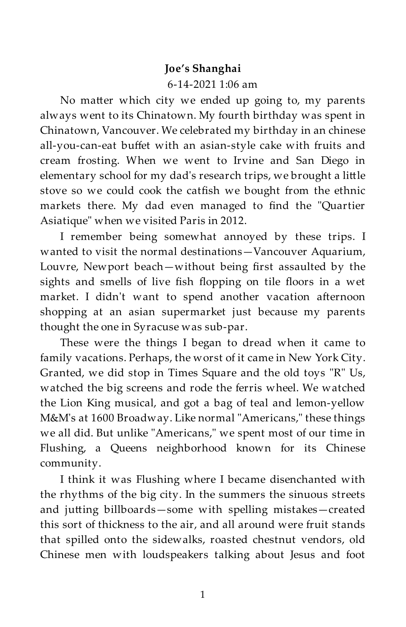## **Joe's Shanghai**

## 6-14-2021 1:06 am

No matter which city we ended up going to, my parents always went to its Chinatown. My fourth birthday was spent in Chinatown, Vancouver. We celebrated my birthday in an chinese all-you-can-eat buffet with an asian-style cake with fruits and cream frosting. When we went to Irvine and San Diego in elementary school for my dad's research trips, we brought a li
le stove so we could cook the catfish we bought from the ethnic markets there. My dad even managed to find the "Quartier Asiatique" when we visited Paris in 2012.

I remember being somewhat annoyed by these trips. I wanted to visit the normal destinations—Vancouver Aquarium, Louvre, Newport beach—without being first assaulted by the sights and smells of live fish flopping on tile floors in a wet market. I didn't want to spend another vacation afternoon shopping at an asian supermarket just because my parents thought the one in Syracuse was sub-par.

These were the things I began to dread when it came to family vacations. Perhaps, the worst of it came in New York City. Granted, we did stop in Times Square and the old toys "R" Us, watched the big screens and rode the ferris wheel. We watched the Lion King musical, and got a bag of teal and lemon-yellow M&M's at 1600 Broadway. Like normal "Americans," these things we all did. But unlike "Americans," we spent most of our time in Flushing, a Queens neighborhood known for its Chinese community.

I think it was Flushing where I became disenchanted with the rhythms of the big city. In the summers the sinuous streets and jutting billboards-some with spelling mistakes-created this sort of thickness to the air, and all around were fruit stands that spilled onto the sidewalks, roasted chestnut vendors, old Chinese men with loudspeakers talking about Jesus and foot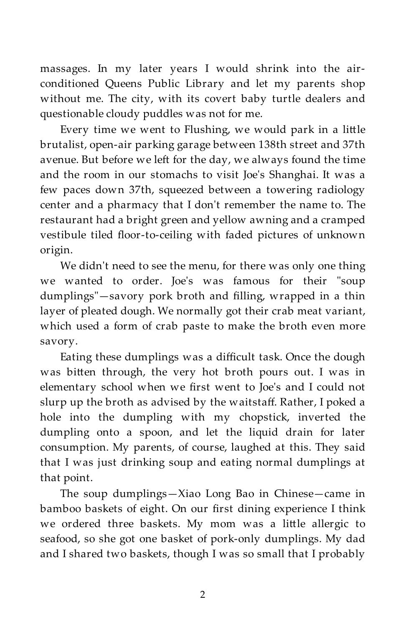massages. In my later years I would shrink into the airconditioned Queens Public Library and let my parents shop without me. The city, with its covert baby turtle dealers and questionable cloudy puddles was not for me.

Every time we went to Flushing, we would park in a li
le brutalist, open-air parking garage between 138th street and 37th avenue. But before we left for the day, we always found the time and the room in our stomachs to visit Joe's Shanghai. It was a few paces down 37th, squeezed between a towering radiology center and a pharmacy that I don't remember the name to. The restaurant had a bright green and yellow awning and a cramped vestibule tiled floor-to-ceiling with faded pictures of unknown origin.

We didn't need to see the menu, for there was only one thing we wanted to order. Joe's was famous for their "soup dumplings"—savory pork broth and filling, wrapped in a thin layer of pleated dough. We normally got their crab meat variant, which used a form of crab paste to make the broth even more savory.

Eating these dumplings was a difficult task. Once the dough was bitten through, the very hot broth pours out. I was in elementary school when we first went to Joe's and I could not slurp up the broth as advised by the waitstaff. Rather, I poked a hole into the dumpling with my chopstick, inverted the dumpling onto a spoon, and let the liquid drain for later consumption. My parents, of course, laughed at this. They said that I was just drinking soup and eating normal dumplings at that point.

The soup dumplings—Xiao Long Bao in Chinese—came in bamboo baskets of eight. On our first dining experience I think we ordered three baskets. My mom was a little allergic to seafood, so she got one basket of pork-only dumplings. My dad and I shared two baskets, though I was so small that I probably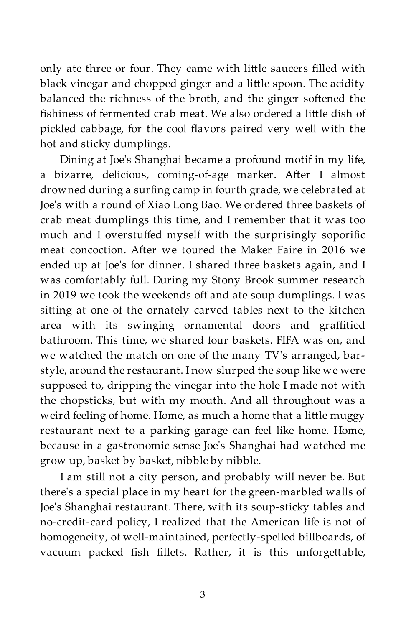only ate three or four. They came with little saucers filled with black vinegar and chopped ginger and a li
le spoon. The acidity balanced the richness of the broth, and the ginger softened the fishiness of fermented crab meat. We also ordered a little dish of pickled cabbage, for the cool flavors paired very well with the hot and sticky dumplings.

Dining at Joe's Shanghai became a profound motif in my life, a bizarre, delicious, coming-of-age marker. After I almost drowned during a surfing camp in fourth grade, we celebrated at Joe's with a round of Xiao Long Bao. We ordered three baskets of crab meat dumplings this time, and I remember that it was too much and I overstuffed myself with the surprisingly soporific meat concoction. After we toured the Maker Faire in 2016 we ended up at Joe's for dinner. I shared three baskets again, and I was comfortably full. During my Stony Brook summer research in 2019 we took the weekends off and ate soup dumplings. I was sitting at one of the ornately carved tables next to the kitchen area with its swinging ornamental doors and graffitied bathroom. This time, we shared four baskets. FIFA was on, and we watched the match on one of the many TV's arranged, barstyle, around the restaurant. I now slurped the soup like we were supposed to, dripping the vinegar into the hole I made not with the chopsticks, but with my mouth. And all throughout was a weird feeling of home. Home, as much a home that a little muggy restaurant next to a parking garage can feel like home. Home, because in a gastronomic sense Joe's Shanghai had watched me grow up, basket by basket, nibble by nibble.

I am still not a city person, and probably will never be. But there's a special place in my heart for the green-marbled walls of Joe's Shanghai restaurant. There, with its soup-sticky tables and no-credit-card policy, I realized that the American life is not of homogeneity, of well-maintained, perfectly-spelled billboards, of vacuum packed fish fillets. Rather, it is this unforgettable,